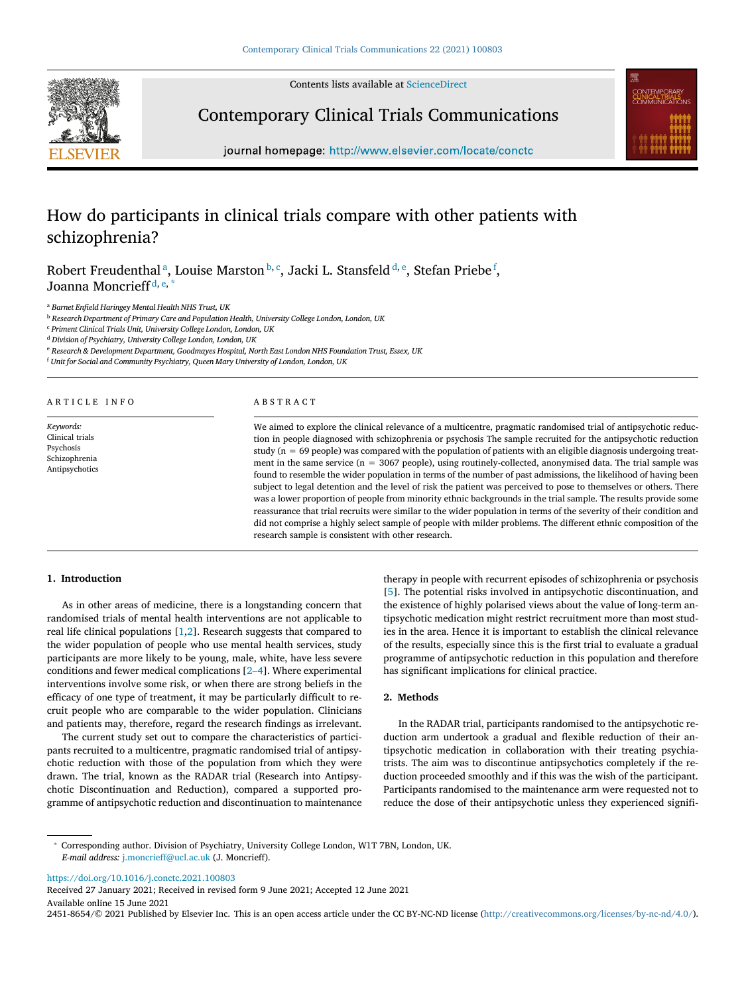Contents lists available at [ScienceDirect](https://www.sciencedirect.com/science/journal/24518654)



Contemporary Clinical Trials Communications



journal homepage: http://www.elsevier.com/locate/conctc

# How do participants in clinical trials compare with other patients with schizophrenia?

Robert Freudenth[a](#page-0-0)l <sup>a</sup>, Louise Marston [b,](#page-0-1) [c](#page-0-2), Jacki L. Stansfel[d](#page-0-3) <sup>d, [e](#page-0-4)</sup>, Ste[f](#page-0-5)an Priebe <sup>f</sup>, Joanna Moncrieff<sup>[d](#page-0-3), [e](#page-0-4), [\\*](#page-0-6)</sup>

<span id="page-0-0"></span><sup>a</sup> *Barnet Enfield Haringey Mental Health NHS Trust, UK*

<span id="page-0-1"></span><sup>b</sup> *Research Department of Primary Care and Population Health, University College London, London, UK*

<span id="page-0-2"></span><sup>c</sup> *Priment Clinical Trials Unit, University College London, London, UK*

<span id="page-0-3"></span><sup>d</sup> *Division of Psychiatry, University College London, London, UK*

<span id="page-0-4"></span><sup>e</sup> *Research & Development Department, Goodmayes Hospital, North East London NHS Foundation Trust, Essex, UK*

<span id="page-0-5"></span><sup>f</sup> *Unit for Social and Community Psychiatry, Queen Mary University of London, London, UK*

ARTICLE INFO

*Keywords:* Clinical trials Psychosis Schizophrenia Antipsychotics ABSTRACT

We aimed to explore the clinical relevance of a multicentre, pragmatic randomised trial of antipsychotic reduction in people diagnosed with schizophrenia or psychosis The sample recruited for the antipsychotic reduction study (n = 69 people) was compared with the population of patients with an eligible diagnosis undergoing treatment in the same service (n = 3067 people), using routinely-collected, anonymised data. The trial sample was found to resemble the wider population in terms of the number of past admissions, the likelihood of having been subject to legal detention and the level of risk the patient was perceived to pose to themselves or others. There was a lower proportion of people from minority ethnic backgrounds in the trial sample. The results provide some reassurance that trial recruits were similar to the wider population in terms of the severity of their condition and did not comprise a highly select sample of people with milder problems. The different ethnic composition of the research sample is consistent with other research.

## **1. Introduction**

As in other areas of medicine, there is a longstanding concern that randomised trials of mental health interventions are not applicable to real life clinical populations [[1](#page-2-0)[,2\]](#page-2-1). Research suggests that compared to the wider population of people who use mental health services, study participants are more likely to be young, male, white, have less severe conditions and fewer medical complications [2–[4\]](#page-2-1). Where experimental interventions involve some risk, or when there are strong beliefs in the efficacy of one type of treatment, it may be particularly difficult to recruit people who are comparable to the wider population. Clinicians and patients may, therefore, regard the research findings as irrelevant.

The current study set out to compare the characteristics of participants recruited to a multicentre, pragmatic randomised trial of antipsychotic reduction with those of the population from which they were drawn. The trial, known as the RADAR trial (Research into Antipsychotic Discontinuation and Reduction), compared a supported programme of antipsychotic reduction and discontinuation to maintenance

therapy in people with recurrent episodes of schizophrenia or psychosis [\[5\]](#page-2-2). The potential risks involved in antipsychotic discontinuation, and the existence of highly polarised views about the value of long-term antipsychotic medication might restrict recruitment more than most studies in the area. Hence it is important to establish the clinical relevance of the results, especially since this is the first trial to evaluate a gradual programme of antipsychotic reduction in this population and therefore has significant implications for clinical practice.

## **2. Methods**

In the RADAR trial, participants randomised to the antipsychotic reduction arm undertook a gradual and flexible reduction of their antipsychotic medication in collaboration with their treating psychiatrists. The aim was to discontinue antipsychotics completely if the reduction proceeded smoothly and if this was the wish of the participant. Participants randomised to the maintenance arm were requested not to reduce the dose of their antipsychotic unless they experienced signifi-

<https://doi.org/10.1016/j.conctc.2021.100803>

Available online 15 June 2021 Received 27 January 2021; Received in revised form 9 June 2021; Accepted 12 June 2021

<span id="page-0-6"></span><sup>\*</sup> Corresponding author. Division of Psychiatry, University College London, W1T 7BN, London, UK. *E-mail address:* [j.moncrieff@ucl.ac.uk](mailto:j.moncrieff@ucl.ac.uk) (J. Moncrieff).

<sup>2451-8654/© 2021</sup> Published by Elsevier Inc. This is an open access article under the CC BY-NC-ND license [\(http://creativecommons.org/licenses/by-nc-nd/4.0/\)](http://creativecommons.org/licenses/by-nc-nd/4.0/).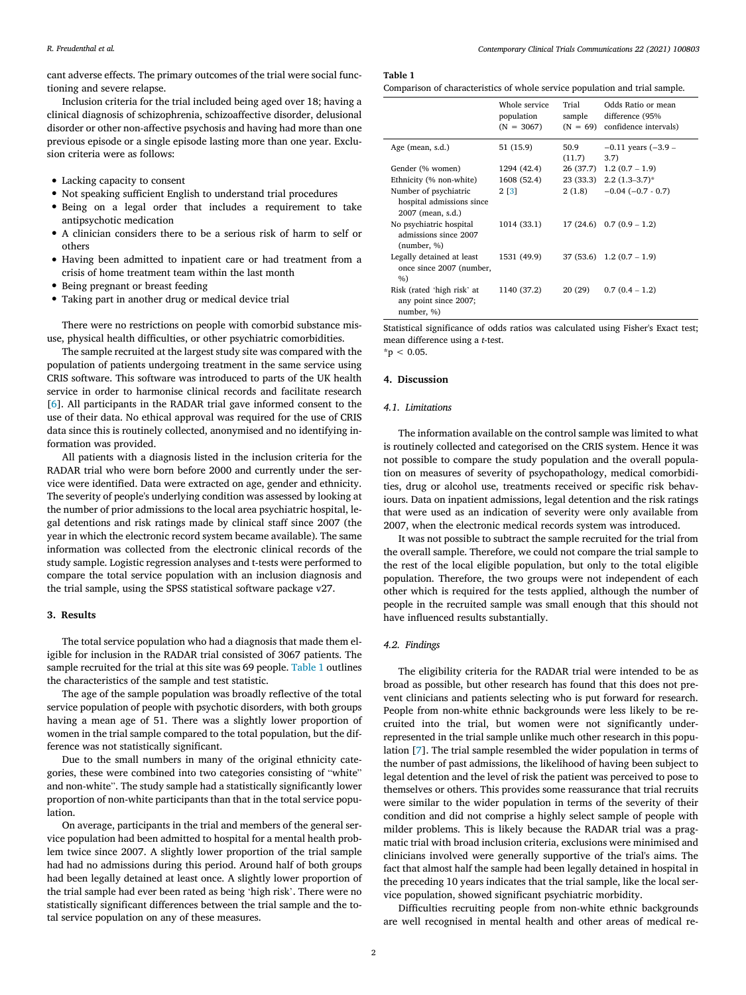<span id="page-1-0"></span>cant adverse effects. The primary outcomes of the trial were social functioning and severe relapse.

Inclusion criteria for the trial included being aged over 18; having a clinical diagnosis of schizophrenia, schizoaffective disorder, delusional disorder or other non-affective psychosis and having had more than one previous episode or a single episode lasting more than one year. Exclusion criteria were as follows:

- Lacking capacity to consent
- Not speaking sufficient English to understand trial procedures
- Being on a legal order that includes a requirement to take antipsychotic medication
- A clinician considers there to be a serious risk of harm to self or others
- Having been admitted to inpatient care or had treatment from a crisis of home treatment team within the last month
- Being pregnant or breast feeding
- Taking part in another drug or medical device trial

There were no restrictions on people with comorbid substance misuse, physical health difficulties, or other psychiatric comorbidities.

The sample recruited at the largest study site was compared with the population of patients undergoing treatment in the same service using CRIS software. This software was introduced to parts of the UK health service in order to harmonise clinical records and facilitate research [[6](#page-2-3)]. All participants in the RADAR trial gave informed consent to the use of their data. No ethical approval was required for the use of CRIS data since this is routinely collected, anonymised and no identifying information was provided.

All patients with a diagnosis listed in the inclusion criteria for the RADAR trial who were born before 2000 and currently under the service were identified. Data were extracted on age, gender and ethnicity. The severity of people's underlying condition was assessed by looking at the number of prior admissions to the local area psychiatric hospital, legal detentions and risk ratings made by clinical staff since 2007 (the year in which the electronic record system became available). The same information was collected from the electronic clinical records of the study sample. Logistic regression analyses and t-tests were performed to compare the total service population with an inclusion diagnosis and the trial sample, using the SPSS statistical software package v27.

## **3. Results**

The total service population who had a diagnosis that made them eligible for inclusion in the RADAR trial consisted of 3067 patients. The sample recruited for the trial at this site was 69 people. [Table](#page-1-0) 1 outlines the characteristics of the sample and test statistic.

The age of the sample population was broadly reflective of the total service population of people with psychotic disorders, with both groups having a mean age of 51. There was a slightly lower proportion of women in the trial sample compared to the total population, but the difference was not statistically significant.

Due to the small numbers in many of the original ethnicity categories, these were combined into two categories consisting of "white" and non-white". The study sample had a statistically significantly lower proportion of non-white participants than that in the total service population.

On average, participants in the trial and members of the general service population had been admitted to hospital for a mental health problem twice since 2007. A slightly lower proportion of the trial sample had had no admissions during this period. Around half of both groups had been legally detained at least once. A slightly lower proportion of the trial sample had ever been rated as being 'high risk'. There were no statistically significant differences between the trial sample and the total service population on any of these measures.

### **Table 1**

Comparison of characteristics of whole service population and trial sample.

|                                                                         | Whole service<br>population<br>$(N = 3067)$ | Trial<br>sample<br>$(N = 69)$ | Odds Ratio or mean<br>difference (95%<br>confidence intervals) |
|-------------------------------------------------------------------------|---------------------------------------------|-------------------------------|----------------------------------------------------------------|
| Age (mean, s.d.)                                                        | 51 (15.9)                                   | 50.9<br>(11.7)                | $-0.11$ years $(-3.9 -$<br>3.7)                                |
| Gender (% women)                                                        | 1294 (42.4)                                 |                               | $26(37.7)$ 1.2 $(0.7 - 1.9)$                                   |
| Ethnicity (% non-white)                                                 | 1608 (52.4)                                 |                               | $23(33.3)$ $2.2(1.3-3.7)^*$                                    |
| Number of psychiatric<br>hospital admissions since<br>2007 (mean, s.d.) | 2 [3]                                       | 2(1.8)                        | $-0.04(-0.7 - 0.7)$                                            |
| No psychiatric hospital<br>admissions since 2007<br>(number, %)         | 1014 (33.1)                                 |                               | $17(24.6)$ 0.7 $(0.9 - 1.2)$                                   |
| Legally detained at least<br>once since 2007 (number,<br>%              | 1531 (49.9)                                 |                               | $37(53.6)$ 1.2 $(0.7 - 1.9)$                                   |
| Risk (rated 'high risk' at<br>any point since 2007;<br>number, %)       | 1140 (37.2)                                 | 20 (29)                       | $0.7(0.4 - 1.2)$                                               |

Statistical significance of odds ratios was calculated using Fisher's Exact test; mean difference using a *t*-test.  $*_{p}$  < 0.05.

#### **4. Discussion**

#### *4.1. Limitations*

The information available on the control sample was limited to what is routinely collected and categorised on the CRIS system. Hence it was not possible to compare the study population and the overall population on measures of severity of psychopathology, medical comorbidities, drug or alcohol use, treatments received or specific risk behaviours. Data on inpatient admissions, legal detention and the risk ratings that were used as an indication of severity were only available from 2007, when the electronic medical records system was introduced.

It was not possible to subtract the sample recruited for the trial from the overall sample. Therefore, we could not compare the trial sample to the rest of the local eligible population, but only to the total eligible population. Therefore, the two groups were not independent of each other which is required for the tests applied, although the number of people in the recruited sample was small enough that this should not have influenced results substantially.

#### *4.2. Findings*

The eligibility criteria for the RADAR trial were intended to be as broad as possible, but other research has found that this does not prevent clinicians and patients selecting who is put forward for research. People from non-white ethnic backgrounds were less likely to be recruited into the trial, but women were not significantly underrepresented in the trial sample unlike much other research in this population [\[7\]](#page-2-5). The trial sample resembled the wider population in terms of the number of past admissions, the likelihood of having been subject to legal detention and the level of risk the patient was perceived to pose to themselves or others. This provides some reassurance that trial recruits were similar to the wider population in terms of the severity of their condition and did not comprise a highly select sample of people with milder problems. This is likely because the RADAR trial was a pragmatic trial with broad inclusion criteria, exclusions were minimised and clinicians involved were generally supportive of the trial's aims. The fact that almost half the sample had been legally detained in hospital in the preceding 10 years indicates that the trial sample, like the local service population, showed significant psychiatric morbidity.

Difficulties recruiting people from non-white ethnic backgrounds are well recognised in mental health and other areas of medical re